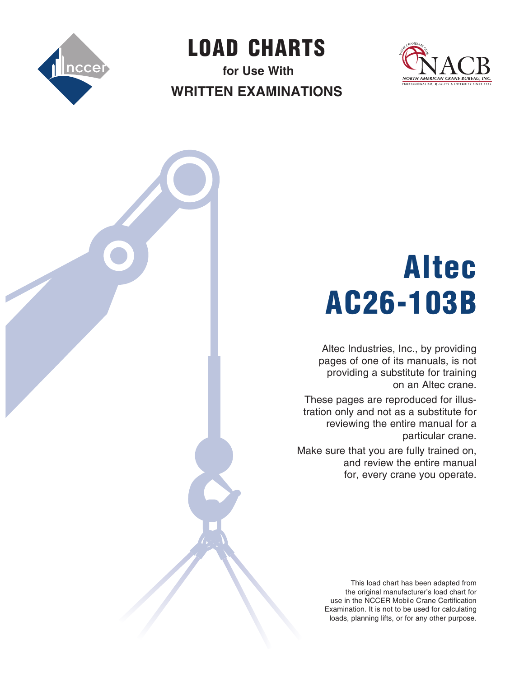

LOAD  CHARTS

**for Use With Written Examinations**



# Altec AC26-103B

Altec Industries, Inc., by providing pages of one of its manuals, is not providing a substitute for training on an Altec crane.

These pages are reproduced for illustration only and not as a substitute for reviewing the entire manual for a particular crane.

Make sure that you are fully trained on, and review the entire manual for, every crane you operate.

> This load chart has been adapted from the original manufacturer's load chart for use in the NCCER Mobile Crane Certification Examination. It is not to be used for calculating loads, planning lifts, or for any other purpose.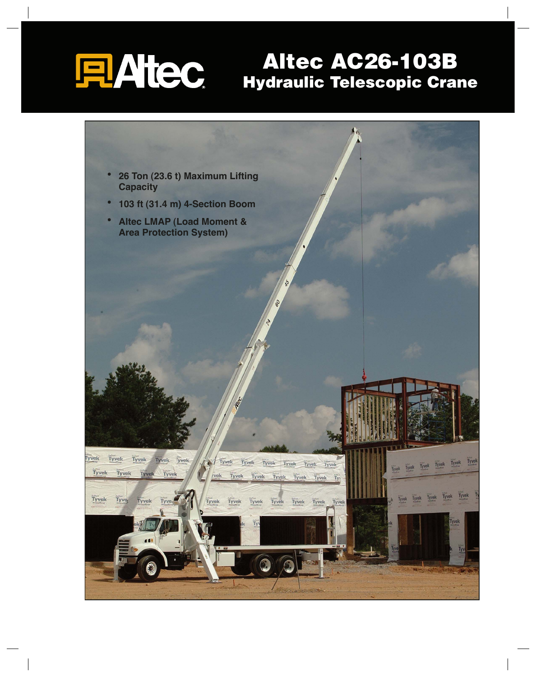# **FLAttec**

## **Altec AC26-103B Hydraulic Telescopic Crane**

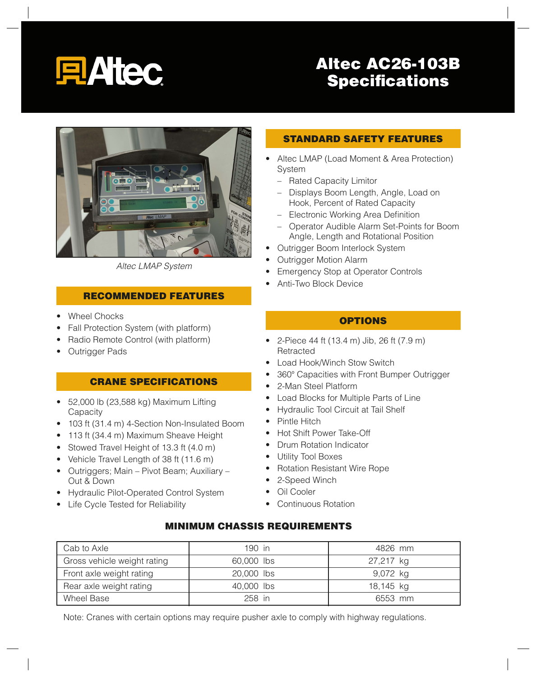

## **Altec AC26-103B Specifications**



*Altec LMAP System*

#### **RECOMMENDED FEATURES**

- Wheel Chocks
- Fall Protection System (with platform)
- Radio Remote Control (with platform)
- Outrigger Pads

#### **CRANE SPECIFICATIONS**

- $\bullet$  52,000 lb (23,588 kg) Maximum Lifting Capacity
- 103 ft (31.4 m) 4-Section Non-Insulated Boom
- 113 ft (34.4 m) Maximum Sheave Height
- Stowed Travel Height of 13.3 ft (4.0 m)
- Vehicle Travel Length of 38 ft (11.6 m)
- Outriggers; Main Pivot Beam; Auxiliary Out & Down
- Hydraulic Pilot-Operated Control System
- Life Cycle Tested for Reliability

#### **STANDARD SAFETY FEATURES**

- Altec LMAP (Load Moment & Area Protection) System
	- Rated Capacity Limitor
	- Displays Boom Length, Angle, Load on Hook, Percent of Rated Capacity
	- Electronic Working Area Definition
	- Operator Audible Alarm Set-Points for Boom Angle, Length and Rotational Position
- Outrigger Boom Interlock System
- Outrigger Motion Alarm
- Emergency Stop at Operator Controls
- Anti-Two Block Device

#### **OPTIONS**

- 2-Piece 44 ft (13.4 m) Jib, 26 ft (7.9 m) Retracted
- Load Hook/Winch Stow Switch
- 360° Capacities with Front Bumper Outrigger
- 2-Man Steel Platform
- Load Blocks for Multiple Parts of Line
- Hydraulic Tool Circuit at Tail Shelf
- Pintle Hitch
- Hot Shift Power Take-Off
- Drum Rotation Indicator
- Utility Tool Boxes
- Rotation Resistant Wire Rope
- 2-Speed Winch
- Oil Cooler
- Continuous Rotation

#### **MINIMUM CHASSIS REQUIREMENTS**

| Cab to Axle                 | $190$ in   | 4826 mm   |
|-----------------------------|------------|-----------|
| Gross vehicle weight rating | 60,000 lbs | 27,217 kg |
| Front axle weight rating    | 20,000 lbs | 9,072 kg  |
| Rear axle weight rating     | 40,000 lbs | 18,145 kg |
| Wheel Base                  | 258 in     | 6553 mm   |

Note: Cranes with certain options may require pusher axle to comply with highway regulations.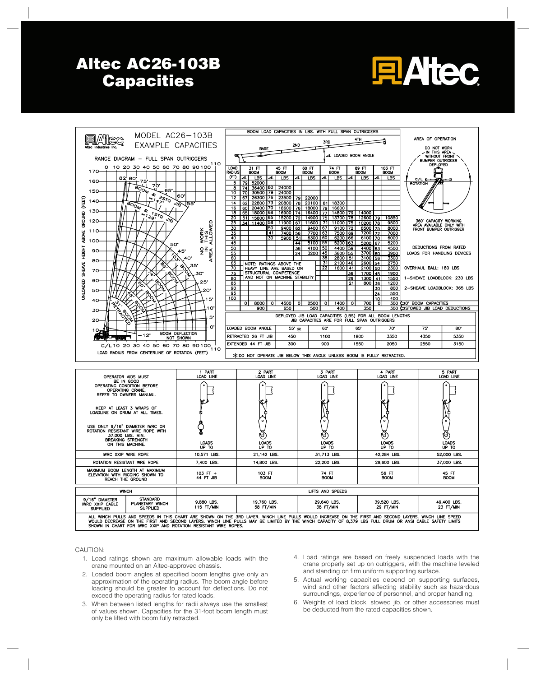## **Altec AC26-103B Capacities**





CAUTION:

- 1. Load ratings shown are maximum allowable loads with the crane mounted on an Altec-approved chassis.
- 2. Loaded boom angles at specified boom lengths give only an approximation of the operating radius. The boom angle before loading should be greater to account for deflections. Do not exceed the operating radius for rated loads.
- 3. When between listed lengths for radii always use the smallest of values shown. Capacities for the 31-foot boom length must only be lifted with boom fully retracted.
- 4. Load ratings are based on freely suspended loads with the crane properly set up on outriggers, with the machine leveled and standing on firm uniform supporting surface.
- 5. Actual working capacities depend on supporting surfaces, wind and other factors affecting stability such as hazardous surroundings, experience of personnel, and proper handling.
- 6. Weights of load block, stowed jib, or other accessories must be deducted from the rated capacities shown.